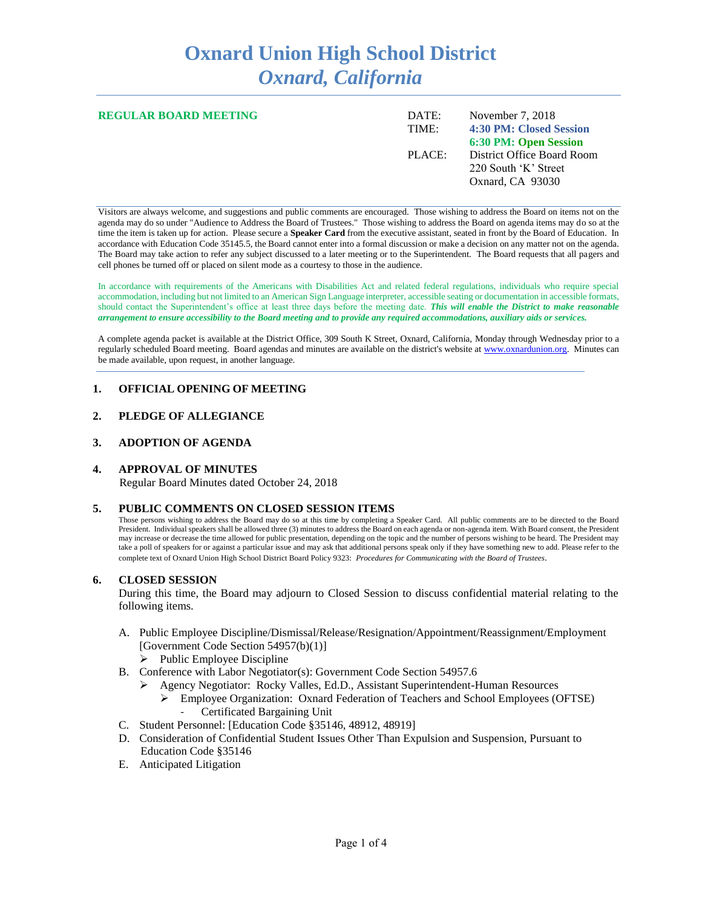# **Oxnard Union High School District** *Oxnard, California*

| <b>REGULAR BOARD MEETING</b> | DATE:<br>TIME: | November 7, 2018<br>4:30 PM: Closed Session                            |
|------------------------------|----------------|------------------------------------------------------------------------|
|                              |                | 6:30 PM: Open Session                                                  |
|                              | PLACE:         | District Office Board Room<br>220 South 'K' Street<br>Oxnard, CA 93030 |

Visitors are always welcome, and suggestions and public comments are encouraged. Those wishing to address the Board on items not on the agenda may do so under "Audience to Address the Board of Trustees." Those wishing to address the Board on agenda items may do so at the time the item is taken up for action. Please secure a **Speaker Card** from the executive assistant, seated in front by the Board of Education. In accordance with Education Code 35145.5, the Board cannot enter into a formal discussion or make a decision on any matter not on the agenda. The Board may take action to refer any subject discussed to a later meeting or to the Superintendent. The Board requests that all pagers and cell phones be turned off or placed on silent mode as a courtesy to those in the audience.

In accordance with requirements of the Americans with Disabilities Act and related federal regulations, individuals who require special accommodation, including but not limited to an American Sign Language interpreter, accessible seating or documentation in accessible formats, should contact the Superintendent's office at least three days before the meeting date. *This will enable the District to make reasonable arrangement to ensure accessibility to the Board meeting and to provide any required accommodations, auxiliary aids or services.* 

A complete agenda packet is available at the District Office, 309 South K Street, Oxnard, California, Monday through Wednesday prior to a regularly scheduled Board meeting. Board agendas and minutes are available on the district's website a[t www.ox](http://www.o/)nardunion.org.Minutes can be made available, upon request, in another language.

# **1. OFFICIAL OPENING OF MEETING**

#### **2. PLEDGE OF ALLEGIANCE**

#### **3. ADOPTION OF AGENDA**

# **4. APPROVAL OF MINUTES**

Regular Board Minutes dated October 24, 2018

#### **5. PUBLIC COMMENTS ON CLOSED SESSION ITEMS**

Those persons wishing to address the Board may do so at this time by completing a Speaker Card. All public comments are to be directed to the Board President. Individual speakers shall be allowed three (3) minutes to address the Board on each agenda or non-agenda item. With Board consent, the President may increase or decrease the time allowed for public presentation, depending on the topic and the number of persons wishing to be heard. The President may take a poll of speakers for or against a particular issue and may ask that additional persons speak only if they have something new to add. Please refer to the complete text of Oxnard Union High School District Board Policy 9323: *Procedures for Communicating with the Board of Trustees*.

#### **6. CLOSED SESSION**

During this time, the Board may adjourn to Closed Session to discuss confidential material relating to the following items.

- A. Public Employee Discipline/Dismissal/Release/Resignation/Appointment/Reassignment/Employment [Government Code Section 54957(b)(1)]
	- $\triangleright$  Public Employee Discipline
- B. Conference with Labor Negotiator(s): Government Code Section 54957.6
	- ➢ Agency Negotiator: Rocky Valles, Ed.D., Assistant Superintendent-Human Resources
		- ➢ Employee Organization: Oxnard Federation of Teachers and School Employees (OFTSE) - Certificated Bargaining Unit
- C. Student Personnel: [Education Code §35146, 48912, 48919]
- D. Consideration of Confidential Student Issues Other Than Expulsion and Suspension, Pursuant to Education Code §35146
- E. Anticipated Litigation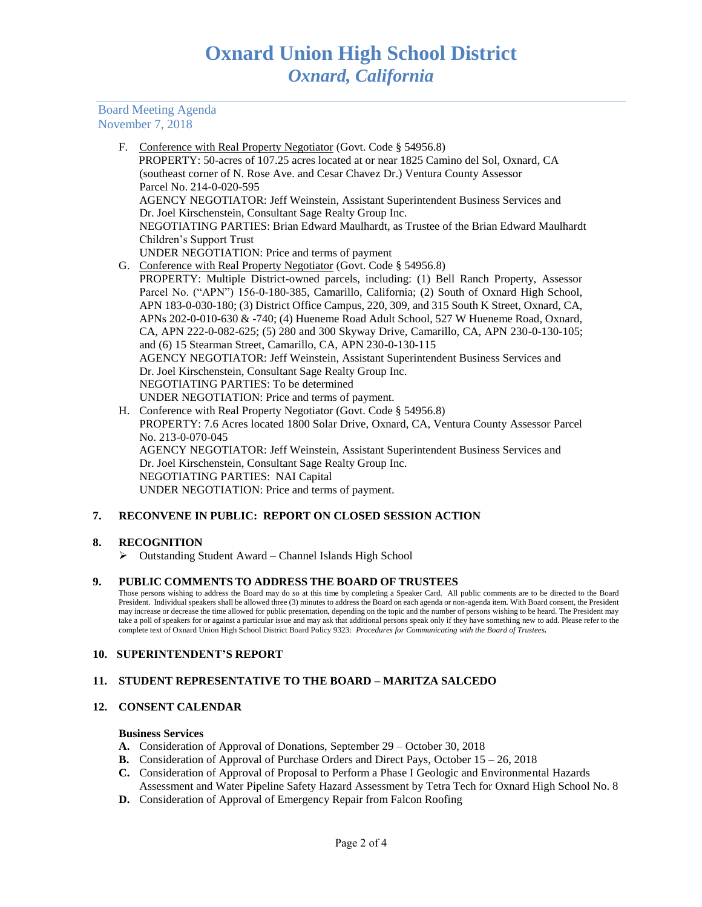Board Meeting Agenda November 7, 2018

> F. Conference with Real Property Negotiator (Govt. Code § 54956.8) PROPERTY: 50-acres of 107.25 acres located at or near 1825 Camino del Sol, Oxnard, CA (southeast corner of N. Rose Ave. and Cesar Chavez Dr.) Ventura County Assessor Parcel No. 214-0-020-595 AGENCY NEGOTIATOR: Jeff Weinstein, Assistant Superintendent Business Services and Dr. Joel Kirschenstein, Consultant Sage Realty Group Inc. NEGOTIATING PARTIES: Brian Edward Maulhardt, as Trustee of the Brian Edward Maulhardt Children's Support Trust UNDER NEGOTIATION: Price and terms of payment G. Conference with Real Property Negotiator (Govt. Code § 54956.8) PROPERTY: Multiple District-owned parcels, including: (1) Bell Ranch Property, Assessor Parcel No. ("APN") 156-0-180-385, Camarillo, California; (2) South of Oxnard High School, APN 183-0-030-180; (3) District Office Campus, 220, 309, and 315 South K Street, Oxnard, CA, APNs 202-0-010-630 & -740; (4) Hueneme Road Adult School, 527 W Hueneme Road, Oxnard, CA, APN 222-0-082-625; (5) 280 and 300 Skyway Drive, Camarillo, CA, APN 230-0-130-105; and (6) 15 Stearman Street, Camarillo, CA, APN 230-0-130-115

AGENCY NEGOTIATOR: Jeff Weinstein, Assistant Superintendent Business Services and Dr. Joel Kirschenstein, Consultant Sage Realty Group Inc. NEGOTIATING PARTIES: To be determined UNDER NEGOTIATION: Price and terms of payment.

H. Conference with Real Property Negotiator (Govt. Code § 54956.8) PROPERTY: 7.6 Acres located 1800 Solar Drive, Oxnard, CA, Ventura County Assessor Parcel No. 213-0-070-045 AGENCY NEGOTIATOR: Jeff Weinstein, Assistant Superintendent Business Services and Dr. Joel Kirschenstein, Consultant Sage Realty Group Inc. NEGOTIATING PARTIES: NAI Capital UNDER NEGOTIATION: Price and terms of payment.

# **7. RECONVENE IN PUBLIC: REPORT ON CLOSED SESSION ACTION**

# **8. RECOGNITION**

➢ Outstanding Student Award – Channel Islands High School

# **9. PUBLIC COMMENTS TO ADDRESS THE BOARD OF TRUSTEES**

Those persons wishing to address the Board may do so at this time by completing a Speaker Card. All public comments are to be directed to the Board President. Individual speakers shall be allowed three (3) minutes to address the Board on each agenda or non-agenda item. With Board consent, the President may increase or decrease the time allowed for public presentation, depending on the topic and the number of persons wishing to be heard. The President may take a poll of speakers for or against a particular issue and may ask that additional persons speak only if they have something new to add. Please refer to the complete text of Oxnard Union High School District Board Policy 9323: *Procedures for Communicating with the Board of Trustees.*

# **10. SUPERINTENDENT'S REPORT**

# **11. STUDENT REPRESENTATIVE TO THE BOARD – MARITZA SALCEDO**

# **12. CONSENT CALENDAR**

#### **Business Services**

- **A.** Consideration of Approval of Donations, September 29 October 30, 2018
- **B.** Consideration of Approval of Purchase Orders and Direct Pays, October 15 26, 2018
- **C.** Consideration of Approval of Proposal to Perform a Phase I Geologic and Environmental Hazards Assessment and Water Pipeline Safety Hazard Assessment by Tetra Tech for Oxnard High School No. 8
- **D.** Consideration of Approval of Emergency Repair from Falcon Roofing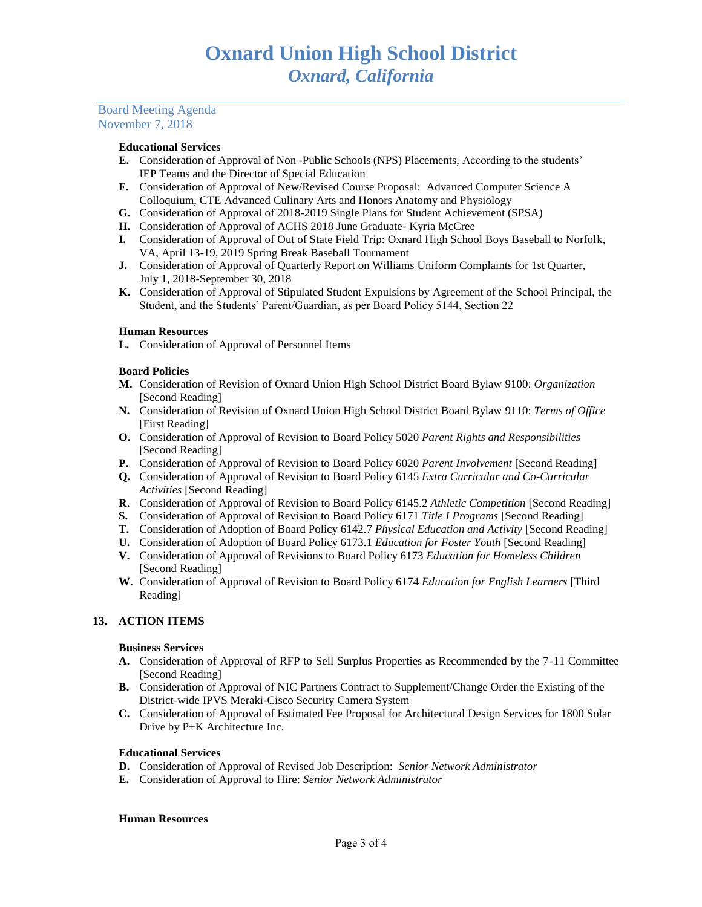# Board Meeting Agenda November 7, 2018

#### **Educational Services**

- **E.** Consideration of Approval of Non -Public Schools (NPS) Placements, According to the students' IEP Teams and the Director of Special Education
- **F.** Consideration of Approval of New/Revised Course Proposal: Advanced Computer Science A Colloquium, CTE Advanced Culinary Arts and Honors Anatomy and Physiology
- **G.** Consideration of Approval of 2018-2019 Single Plans for Student Achievement (SPSA)
- **H.** Consideration of Approval of ACHS 2018 June Graduate- Kyria McCree
- **I.** Consideration of Approval of Out of State Field Trip: Oxnard High School Boys Baseball to Norfolk, VA, April 13-19, 2019 Spring Break Baseball Tournament
- **J.** Consideration of Approval of Quarterly Report on Williams Uniform Complaints for 1st Quarter, July 1, 2018-September 30, 2018
- **K.** Consideration of Approval of Stipulated Student Expulsions by Agreement of the School Principal, the Student, and the Students' Parent/Guardian, as per Board Policy 5144, Section 22

#### **Human Resources**

**L.** Consideration of Approval of Personnel Items

#### **Board Policies**

- **M.** Consideration of Revision of Oxnard Union High School District Board Bylaw 9100: *Organization*  [Second Reading]
- **N.** Consideration of Revision of Oxnard Union High School District Board Bylaw 9110: *Terms of Office* [First Reading]
- **O.** Consideration of Approval of Revision to Board Policy 5020 *Parent Rights and Responsibilities* [Second Reading]
- **P.** Consideration of Approval of Revision to Board Policy 6020 *Parent Involvement* [Second Reading]
- **Q.** Consideration of Approval of Revision to Board Policy 6145 *Extra Curricular and Co-Curricular Activities* [Second Reading]
- **R.** Consideration of Approval of Revision to Board Policy 6145.2 *Athletic Competition* [Second Reading]
- **S.** Consideration of Approval of Revision to Board Policy 6171 *Title I Programs* [Second Reading]
- **T.** Consideration of Adoption of Board Policy 6142.7 *Physical Education and Activity* [Second Reading]
- **U.** Consideration of Adoption of Board Policy 6173.1 *Education for Foster Youth* [Second Reading]
- **V.** Consideration of Approval of Revisions to Board Policy 6173 *Education for Homeless Children* [Second Reading]
- **W.** Consideration of Approval of Revision to Board Policy 6174 *Education for English Learners* [Third Reading]

# **13. ACTION ITEMS**

#### **Business Services**

- **A.** Consideration of Approval of RFP to Sell Surplus Properties as Recommended by the 7-11 Committee [Second Reading]
- **B.** Consideration of Approval of NIC Partners Contract to Supplement/Change Order the Existing of the District-wide IPVS Meraki-Cisco Security Camera System
- **C.** Consideration of Approval of Estimated Fee Proposal for Architectural Design Services for 1800 Solar Drive by P+K Architecture Inc.

# **Educational Services**

- **D.** Consideration of Approval of Revised Job Description: *Senior Network Administrator*
- **E.** Consideration of Approval to Hire: *Senior Network Administrator*

#### **Human Resources**